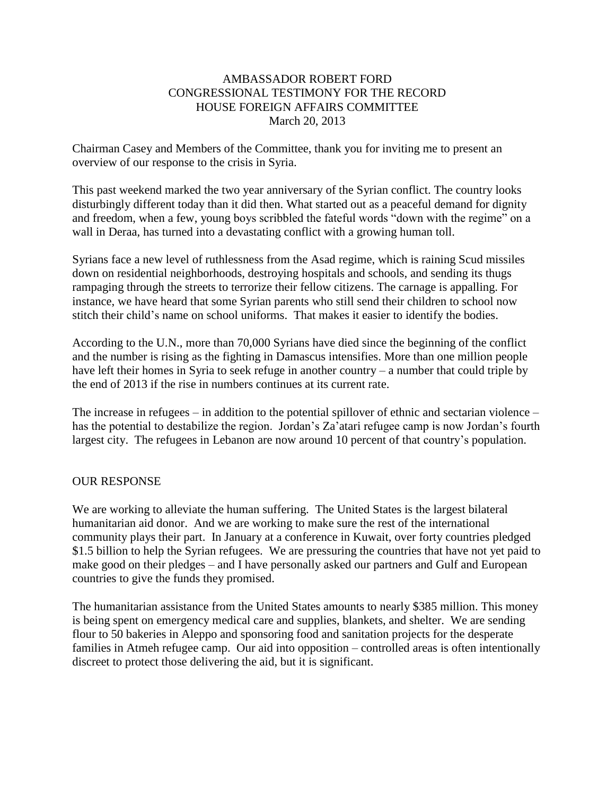## AMBASSADOR ROBERT FORD CONGRESSIONAL TESTIMONY FOR THE RECORD HOUSE FOREIGN AFFAIRS COMMITTEE March 20, 2013

Chairman Casey and Members of the Committee, thank you for inviting me to present an overview of our response to the crisis in Syria.

This past weekend marked the two year anniversary of the Syrian conflict. The country looks disturbingly different today than it did then. What started out as a peaceful demand for dignity and freedom, when a few, young boys scribbled the fateful words "down with the regime" on a wall in Deraa, has turned into a devastating conflict with a growing human toll.

Syrians face a new level of ruthlessness from the Asad regime, which is raining Scud missiles down on residential neighborhoods, destroying hospitals and schools, and sending its thugs rampaging through the streets to terrorize their fellow citizens. The carnage is appalling. For instance, we have heard that some Syrian parents who still send their children to school now stitch their child's name on school uniforms. That makes it easier to identify the bodies.

According to the U.N., more than 70,000 Syrians have died since the beginning of the conflict and the number is rising as the fighting in Damascus intensifies. More than one million people have left their homes in Syria to seek refuge in another country – a number that could triple by the end of 2013 if the rise in numbers continues at its current rate.

The increase in refugees – in addition to the potential spillover of ethnic and sectarian violence – has the potential to destabilize the region. Jordan's Za'atari refugee camp is now Jordan's fourth largest city. The refugees in Lebanon are now around 10 percent of that country's population.

#### OUR RESPONSE

We are working to alleviate the human suffering. The United States is the largest bilateral humanitarian aid donor. And we are working to make sure the rest of the international community plays their part. In January at a conference in Kuwait, over forty countries pledged \$1.5 billion to help the Syrian refugees. We are pressuring the countries that have not yet paid to make good on their pledges – and I have personally asked our partners and Gulf and European countries to give the funds they promised.

The humanitarian assistance from the United States amounts to nearly \$385 million. This money is being spent on emergency medical care and supplies, blankets, and shelter. We are sending flour to 50 bakeries in Aleppo and sponsoring food and sanitation projects for the desperate families in Atmeh refugee camp. Our aid into opposition – controlled areas is often intentionally discreet to protect those delivering the aid, but it is significant.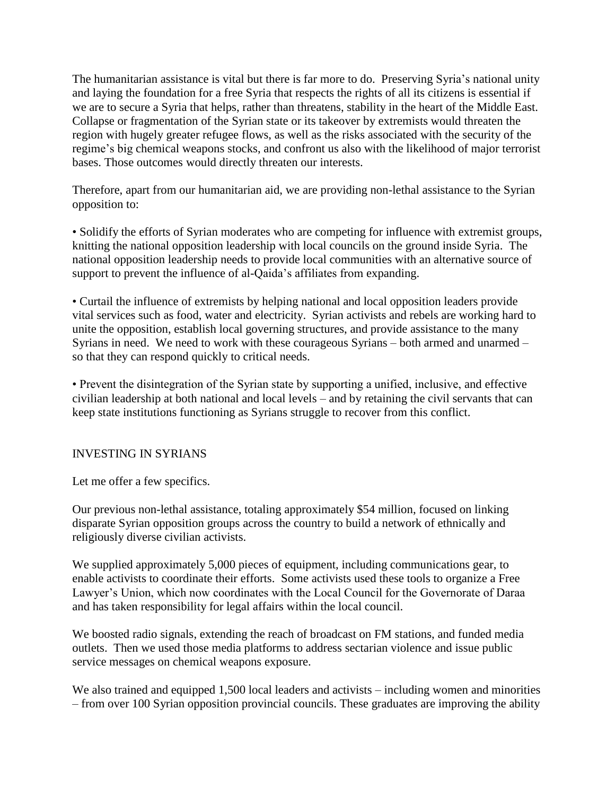The humanitarian assistance is vital but there is far more to do. Preserving Syria's national unity and laying the foundation for a free Syria that respects the rights of all its citizens is essential if we are to secure a Syria that helps, rather than threatens, stability in the heart of the Middle East. Collapse or fragmentation of the Syrian state or its takeover by extremists would threaten the region with hugely greater refugee flows, as well as the risks associated with the security of the regime's big chemical weapons stocks, and confront us also with the likelihood of major terrorist bases. Those outcomes would directly threaten our interests.

Therefore, apart from our humanitarian aid, we are providing non-lethal assistance to the Syrian opposition to:

• Solidify the efforts of Syrian moderates who are competing for influence with extremist groups, knitting the national opposition leadership with local councils on the ground inside Syria. The national opposition leadership needs to provide local communities with an alternative source of support to prevent the influence of al-Qaida's affiliates from expanding.

• Curtail the influence of extremists by helping national and local opposition leaders provide vital services such as food, water and electricity. Syrian activists and rebels are working hard to unite the opposition, establish local governing structures, and provide assistance to the many Syrians in need. We need to work with these courageous Syrians – both armed and unarmed – so that they can respond quickly to critical needs.

• Prevent the disintegration of the Syrian state by supporting a unified, inclusive, and effective civilian leadership at both national and local levels – and by retaining the civil servants that can keep state institutions functioning as Syrians struggle to recover from this conflict.

# INVESTING IN SYRIANS

Let me offer a few specifics.

Our previous non-lethal assistance, totaling approximately \$54 million, focused on linking disparate Syrian opposition groups across the country to build a network of ethnically and religiously diverse civilian activists.

We supplied approximately 5,000 pieces of equipment, including communications gear, to enable activists to coordinate their efforts. Some activists used these tools to organize a Free Lawyer's Union, which now coordinates with the Local Council for the Governorate of Daraa and has taken responsibility for legal affairs within the local council.

We boosted radio signals, extending the reach of broadcast on FM stations, and funded media outlets. Then we used those media platforms to address sectarian violence and issue public service messages on chemical weapons exposure.

We also trained and equipped 1,500 local leaders and activists – including women and minorities – from over 100 Syrian opposition provincial councils. These graduates are improving the ability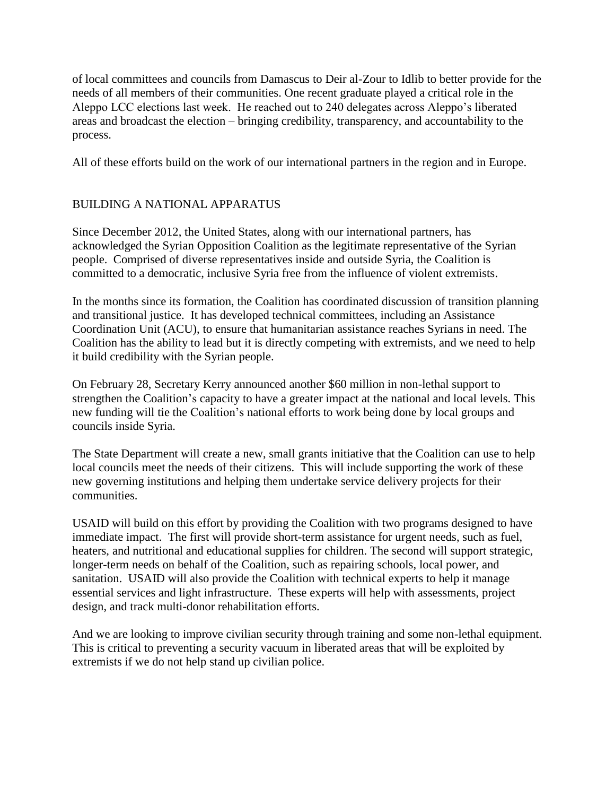of local committees and councils from Damascus to Deir al-Zour to Idlib to better provide for the needs of all members of their communities. One recent graduate played a critical role in the Aleppo LCC elections last week. He reached out to 240 delegates across Aleppo's liberated areas and broadcast the election – bringing credibility, transparency, and accountability to the process.

All of these efforts build on the work of our international partners in the region and in Europe.

# BUILDING A NATIONAL APPARATUS

Since December 2012, the United States, along with our international partners, has acknowledged the Syrian Opposition Coalition as the legitimate representative of the Syrian people. Comprised of diverse representatives inside and outside Syria, the Coalition is committed to a democratic, inclusive Syria free from the influence of violent extremists.

In the months since its formation, the Coalition has coordinated discussion of transition planning and transitional justice. It has developed technical committees, including an Assistance Coordination Unit (ACU), to ensure that humanitarian assistance reaches Syrians in need. The Coalition has the ability to lead but it is directly competing with extremists, and we need to help it build credibility with the Syrian people.

On February 28, Secretary Kerry announced another \$60 million in non-lethal support to strengthen the Coalition's capacity to have a greater impact at the national and local levels. This new funding will tie the Coalition's national efforts to work being done by local groups and councils inside Syria.

The State Department will create a new, small grants initiative that the Coalition can use to help local councils meet the needs of their citizens. This will include supporting the work of these new governing institutions and helping them undertake service delivery projects for their communities.

USAID will build on this effort by providing the Coalition with two programs designed to have immediate impact. The first will provide short-term assistance for urgent needs, such as fuel, heaters, and nutritional and educational supplies for children. The second will support strategic, longer-term needs on behalf of the Coalition, such as repairing schools, local power, and sanitation. USAID will also provide the Coalition with technical experts to help it manage essential services and light infrastructure. These experts will help with assessments, project design, and track multi-donor rehabilitation efforts.

And we are looking to improve civilian security through training and some non-lethal equipment. This is critical to preventing a security vacuum in liberated areas that will be exploited by extremists if we do not help stand up civilian police.